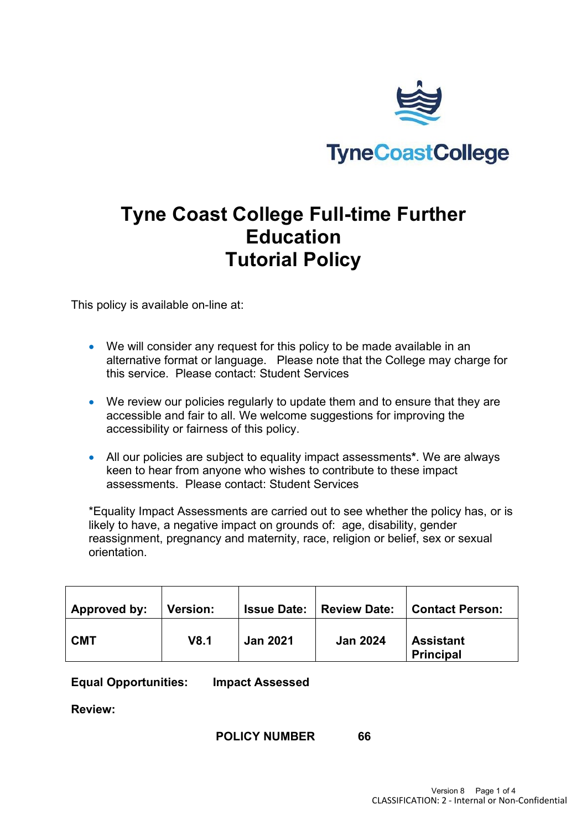

# **Tyne Coast College Full-time Further Education Tutorial Policy**

This policy is available on-line at:

- We will consider any request for this policy to be made available in an alternative format or language. Please note that the College may charge for this service. Please contact: Student Services
- We review our policies regularly to update them and to ensure that they are accessible and fair to all. We welcome suggestions for improving the accessibility or fairness of this policy.
- All our policies are subject to equality impact assessments**\***. We are always keen to hear from anyone who wishes to contribute to these impact assessments. Please contact: Student Services

\*Equality Impact Assessments are carried out to see whether the policy has, or is likely to have, a negative impact on grounds of: age, disability, gender reassignment, pregnancy and maternity, race, religion or belief, sex or sexual orientation.

| Approved by: | <b>Version:</b> |                 | <b>Issue Date:   Review Date:</b> | <b>Contact Person:</b>               |
|--------------|-----------------|-----------------|-----------------------------------|--------------------------------------|
| <b>CMT</b>   | V8.1            | <b>Jan 2021</b> | <b>Jan 2024</b>                   | <b>Assistant</b><br><b>Principal</b> |

**Equal Opportunities: Impact Assessed**

**Review:**

#### **POLICY NUMBER 66**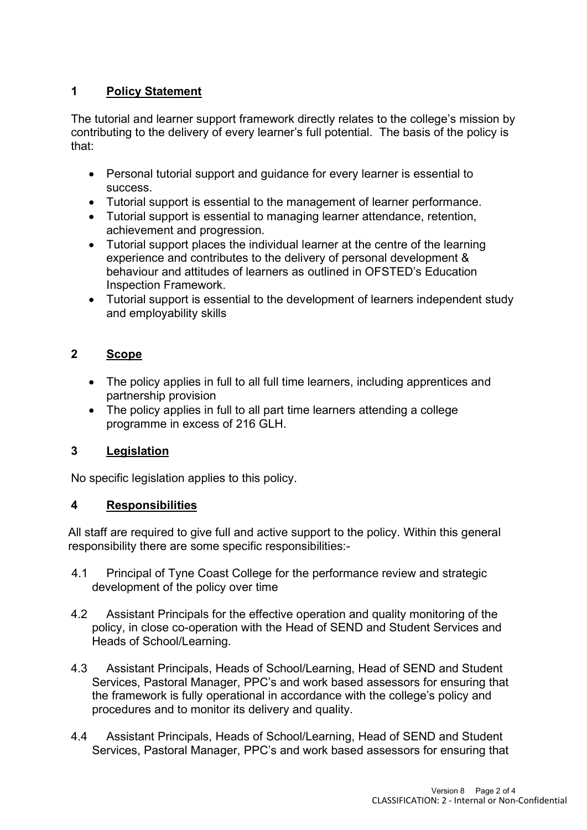# **1 Policy Statement**

The tutorial and learner support framework directly relates to the college's mission by contributing to the delivery of every learner's full potential. The basis of the policy is that:

- Personal tutorial support and guidance for every learner is essential to success.
- Tutorial support is essential to the management of learner performance.
- Tutorial support is essential to managing learner attendance, retention, achievement and progression.
- Tutorial support places the individual learner at the centre of the learning experience and contributes to the delivery of personal development & behaviour and attitudes of learners as outlined in OFSTED's Education Inspection Framework.
- Tutorial support is essential to the development of learners independent study and employability skills

# **2 Scope**

- The policy applies in full to all full time learners, including apprentices and partnership provision
- The policy applies in full to all part time learners attending a college programme in excess of 216 GLH.

## **3 Legislation**

No specific legislation applies to this policy.

## **4 Responsibilities**

All staff are required to give full and active support to the policy. Within this general responsibility there are some specific responsibilities:-

- 4.1 Principal of Tyne Coast College for the performance review and strategic development of the policy over time
- 4.2 Assistant Principals for the effective operation and quality monitoring of the policy, in close co-operation with the Head of SEND and Student Services and Heads of School/Learning.
- 4.3 Assistant Principals, Heads of School/Learning, Head of SEND and Student Services, Pastoral Manager, PPC's and work based assessors for ensuring that the framework is fully operational in accordance with the college's policy and procedures and to monitor its delivery and quality.
- 4.4 Assistant Principals, Heads of School/Learning, Head of SEND and Student Services, Pastoral Manager, PPC's and work based assessors for ensuring that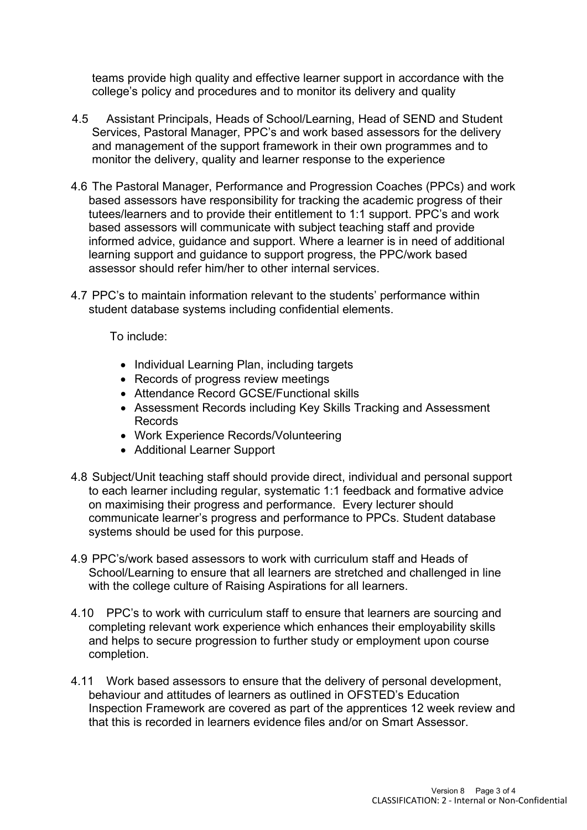teams provide high quality and effective learner support in accordance with the college's policy and procedures and to monitor its delivery and quality

- 4.5 Assistant Principals, Heads of School/Learning, Head of SEND and Student Services, Pastoral Manager, PPC's and work based assessors for the delivery and management of the support framework in their own programmes and to monitor the delivery, quality and learner response to the experience
- 4.6 The Pastoral Manager, Performance and Progression Coaches (PPCs) and work based assessors have responsibility for tracking the academic progress of their tutees/learners and to provide their entitlement to 1:1 support. PPC's and work based assessors will communicate with subject teaching staff and provide informed advice, guidance and support. Where a learner is in need of additional learning support and guidance to support progress, the PPC/work based assessor should refer him/her to other internal services.
- 4.7 PPC's to maintain information relevant to the students' performance within student database systems including confidential elements.

To include:

- Individual Learning Plan, including targets
- Records of progress review meetings
- Attendance Record GCSE/Functional skills
- Assessment Records including Key Skills Tracking and Assessment Records
- Work Experience Records/Volunteering
- Additional Learner Support
- 4.8 Subject/Unit teaching staff should provide direct, individual and personal support to each learner including regular, systematic 1:1 feedback and formative advice on maximising their progress and performance. Every lecturer should communicate learner's progress and performance to PPCs. Student database systems should be used for this purpose.
- 4.9 PPC's/work based assessors to work with curriculum staff and Heads of School/Learning to ensure that all learners are stretched and challenged in line with the college culture of Raising Aspirations for all learners.
- 4.10 PPC's to work with curriculum staff to ensure that learners are sourcing and completing relevant work experience which enhances their employability skills and helps to secure progression to further study or employment upon course completion.
- 4.11 Work based assessors to ensure that the delivery of personal development, behaviour and attitudes of learners as outlined in OFSTED's Education Inspection Framework are covered as part of the apprentices 12 week review and that this is recorded in learners evidence files and/or on Smart Assessor.